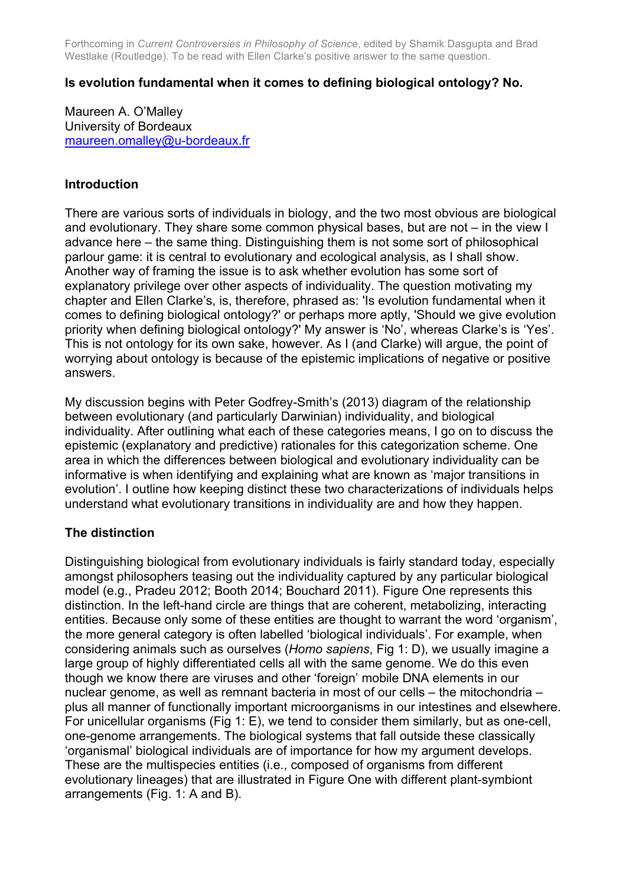Forthcoming in *Current Controversies in Philosophy of Science*, edited by Shamik Dasgupta and Brad Westlake (Routledge). To be read with Ellen Clarke's positive answer to the same question.

#### **Is evolution fundamental when it comes to defining biological ontology? No.**

Maureen A. O'Malley University of Bordeaux maureen.omalley@u-bordeaux.fr

#### **Introduction**

There are various sorts of individuals in biology, and the two most obvious are biological and evolutionary. They share some common physical bases, but are not – in the view I advance here – the same thing. Distinguishing them is not some sort of philosophical parlour game: it is central to evolutionary and ecological analysis, as I shall show. Another way of framing the issue is to ask whether evolution has some sort of explanatory privilege over other aspects of individuality. The question motivating my chapter and Ellen Clarke's, is, therefore, phrased as: 'Is evolution fundamental when it comes to defining biological ontology?' or perhaps more aptly, 'Should we give evolution priority when defining biological ontology?' My answer is 'No', whereas Clarke's is 'Yes'. This is not ontology for its own sake, however. As I (and Clarke) will argue, the point of worrying about ontology is because of the epistemic implications of negative or positive answers.

My discussion begins with Peter Godfrey-Smith's (2013) diagram of the relationship between evolutionary (and particularly Darwinian) individuality, and biological individuality. After outlining what each of these categories means, I go on to discuss the epistemic (explanatory and predictive) rationales for this categorization scheme. One area in which the differences between biological and evolutionary individuality can be informative is when identifying and explaining what are known as 'major transitions in evolution'. I outline how keeping distinct these two characterizations of individuals helps understand what evolutionary transitions in individuality are and how they happen.

### **The distinction**

Distinguishing biological from evolutionary individuals is fairly standard today, especially amongst philosophers teasing out the individuality captured by any particular biological model (e.g., Pradeu 2012; Booth 2014; Bouchard 2011). Figure One represents this distinction. In the left-hand circle are things that are coherent, metabolizing, interacting entities. Because only some of these entities are thought to warrant the word 'organism', the more general category is often labelled 'biological individuals'. For example, when considering animals such as ourselves (*Homo sapiens*, Fig 1: D), we usually imagine a large group of highly differentiated cells all with the same genome. We do this even though we know there are viruses and other 'foreign' mobile DNA elements in our nuclear genome, as well as remnant bacteria in most of our cells – the mitochondria – plus all manner of functionally important microorganisms in our intestines and elsewhere. For unicellular organisms (Fig 1: E), we tend to consider them similarly, but as one-cell, one-genome arrangements. The biological systems that fall outside these classically 'organismal' biological individuals are of importance for how my argument develops. These are the multispecies entities (i.e., composed of organisms from different evolutionary lineages) that are illustrated in Figure One with different plant-symbiont arrangements (Fig. 1: A and B).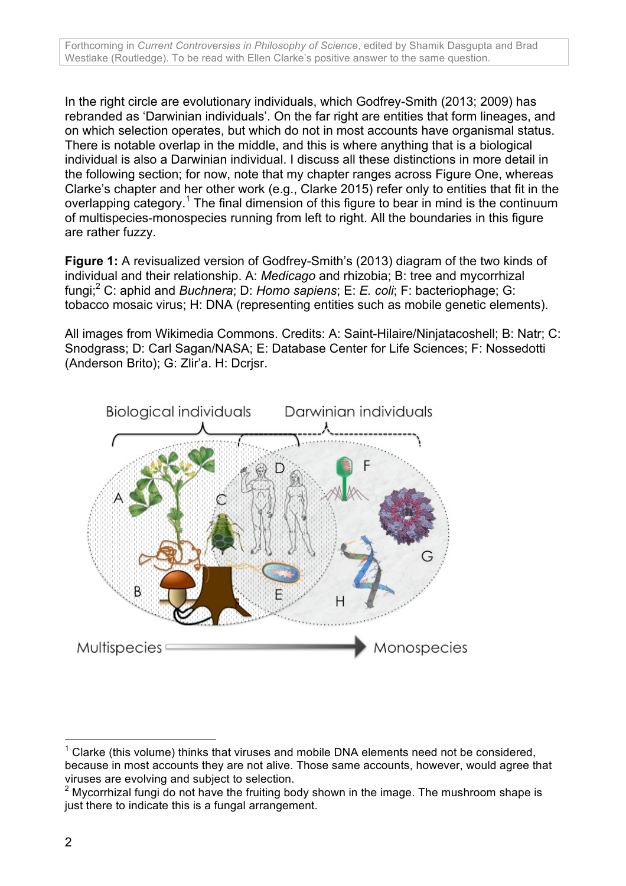In the right circle are evolutionary individuals, which Godfrey-Smith (2013; 2009) has rebranded as 'Darwinian individuals'. On the far right are entities that form lineages, and on which selection operates, but which do not in most accounts have organismal status. There is notable overlap in the middle, and this is where anything that is a biological individual is also a Darwinian individual. I discuss all these distinctions in more detail in the following section; for now, note that my chapter ranges across Figure One, whereas Clarke's chapter and her other work (e.g., Clarke 2015) refer only to entities that fit in the overlapping category.<sup>1</sup> The final dimension of this figure to bear in mind is the continuum of multispecies-monospecies running from left to right. All the boundaries in this figure are rather fuzzy.

**Figure 1:** A revisualized version of Godfrey-Smith's (2013) diagram of the two kinds of individual and their relationship. A: *Medicago* and rhizobia; B: tree and mycorrhizal fungi;2 C: aphid and *Buchnera*; D: *Homo sapiens*; E: *E. coli*; F: bacteriophage; G: tobacco mosaic virus; H: DNA (representing entities such as mobile genetic elements).

All images from Wikimedia Commons. Credits: A: Saint-Hilaire/Ninjatacoshell; B: Natr; C: Snodgrass; D: Carl Sagan/NASA; E: Database Center for Life Sciences; F: Nossedotti (Anderson Brito); G: Zlir'a. H: Dcrjsr.



Clarke (this volume) thinks that viruses and mobile DNA elements need not be considered, because in most accounts they are not alive. Those same accounts, however, would agree that viruses are evolving and subject to selection.

 $2$  Mycorrhizal fungi do not have the fruiting body shown in the image. The mushroom shape is just there to indicate this is a fungal arrangement.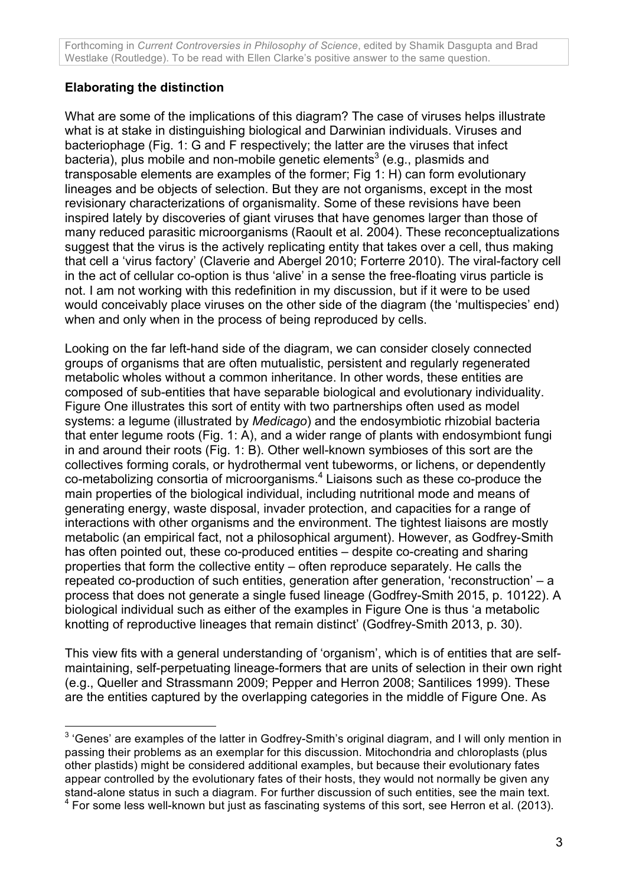# **Elaborating the distinction**

What are some of the implications of this diagram? The case of viruses helps illustrate what is at stake in distinguishing biological and Darwinian individuals. Viruses and bacteriophage (Fig. 1: G and F respectively; the latter are the viruses that infect bacteria), plus mobile and non-mobile genetic elements<sup>3</sup> (e.g., plasmids and transposable elements are examples of the former; Fig 1: H) can form evolutionary lineages and be objects of selection. But they are not organisms, except in the most revisionary characterizations of organismality. Some of these revisions have been inspired lately by discoveries of giant viruses that have genomes larger than those of many reduced parasitic microorganisms (Raoult et al. 2004). These reconceptualizations suggest that the virus is the actively replicating entity that takes over a cell, thus making that cell a 'virus factory' (Claverie and Abergel 2010; Forterre 2010). The viral-factory cell in the act of cellular co-option is thus 'alive' in a sense the free-floating virus particle is not. I am not working with this redefinition in my discussion, but if it were to be used would conceivably place viruses on the other side of the diagram (the 'multispecies' end) when and only when in the process of being reproduced by cells.

Looking on the far left-hand side of the diagram, we can consider closely connected groups of organisms that are often mutualistic, persistent and regularly regenerated metabolic wholes without a common inheritance. In other words, these entities are composed of sub-entities that have separable biological and evolutionary individuality. Figure One illustrates this sort of entity with two partnerships often used as model systems: a legume (illustrated by *Medicago*) and the endosymbiotic rhizobial bacteria that enter legume roots (Fig. 1: A), and a wider range of plants with endosymbiont fungi in and around their roots (Fig. 1: B). Other well-known symbioses of this sort are the collectives forming corals, or hydrothermal vent tubeworms, or lichens, or dependently co-metabolizing consortia of microorganisms. <sup>4</sup> Liaisons such as these co-produce the main properties of the biological individual, including nutritional mode and means of generating energy, waste disposal, invader protection, and capacities for a range of interactions with other organisms and the environment. The tightest liaisons are mostly metabolic (an empirical fact, not a philosophical argument). However, as Godfrey-Smith has often pointed out, these co-produced entities – despite co-creating and sharing properties that form the collective entity – often reproduce separately. He calls the repeated co-production of such entities, generation after generation, 'reconstruction' – a process that does not generate a single fused lineage (Godfrey-Smith 2015, p. 10122). A biological individual such as either of the examples in Figure One is thus 'a metabolic knotting of reproductive lineages that remain distinct' (Godfrey-Smith 2013, p. 30).

This view fits with a general understanding of 'organism', which is of entities that are selfmaintaining, self-perpetuating lineage-formers that are units of selection in their own right (e.g., Queller and Strassmann 2009; Pepper and Herron 2008; Santilices 1999). These are the entities captured by the overlapping categories in the middle of Figure One. As

<sup>&</sup>lt;sup>3</sup> 'Genes' are examples of the latter in Godfrey-Smith's original diagram, and I will only mention in passing their problems as an exemplar for this discussion. Mitochondria and chloroplasts (plus other plastids) might be considered additional examples, but because their evolutionary fates appear controlled by the evolutionary fates of their hosts, they would not normally be given any stand-alone status in such a diagram. For further discussion of such entities, see the main text.  $4$  For some less well-known but just as fascinating systems of this sort, see Herron et al. (2013).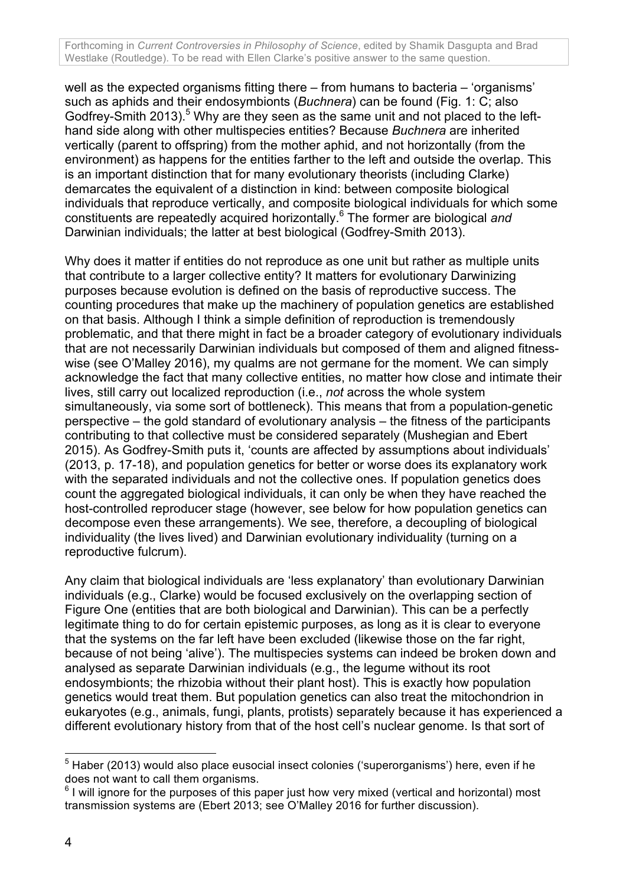Forthcoming in *Current Controversies in Philosophy of Science*, edited by Shamik Dasgupta and Brad Westlake (Routledge). To be read with Ellen Clarke's positive answer to the same question.

well as the expected organisms fitting there – from humans to bacteria – 'organisms' such as aphids and their endosymbionts (*Buchnera*) can be found (Fig. 1: C; also Godfrey-Smith 2013).<sup>5</sup> Why are they seen as the same unit and not placed to the lefthand side along with other multispecies entities? Because *Buchnera* are inherited vertically (parent to offspring) from the mother aphid, and not horizontally (from the environment) as happens for the entities farther to the left and outside the overlap. This is an important distinction that for many evolutionary theorists (including Clarke) demarcates the equivalent of a distinction in kind: between composite biological individuals that reproduce vertically, and composite biological individuals for which some constituents are repeatedly acquired horizontally.<sup>6</sup> The former are biological *and* Darwinian individuals; the latter at best biological (Godfrey-Smith 2013).

Why does it matter if entities do not reproduce as one unit but rather as multiple units that contribute to a larger collective entity? It matters for evolutionary Darwinizing purposes because evolution is defined on the basis of reproductive success. The counting procedures that make up the machinery of population genetics are established on that basis. Although I think a simple definition of reproduction is tremendously problematic, and that there might in fact be a broader category of evolutionary individuals that are not necessarily Darwinian individuals but composed of them and aligned fitnesswise (see O'Malley 2016), my qualms are not germane for the moment. We can simply acknowledge the fact that many collective entities, no matter how close and intimate their lives, still carry out localized reproduction (i.e., *not* across the whole system simultaneously, via some sort of bottleneck). This means that from a population-genetic perspective – the gold standard of evolutionary analysis – the fitness of the participants contributing to that collective must be considered separately (Mushegian and Ebert 2015). As Godfrey-Smith puts it, 'counts are affected by assumptions about individuals' (2013, p. 17-18), and population genetics for better or worse does its explanatory work with the separated individuals and not the collective ones. If population genetics does count the aggregated biological individuals, it can only be when they have reached the host-controlled reproducer stage (however, see below for how population genetics can decompose even these arrangements). We see, therefore, a decoupling of biological individuality (the lives lived) and Darwinian evolutionary individuality (turning on a reproductive fulcrum).

Any claim that biological individuals are 'less explanatory' than evolutionary Darwinian individuals (e.g., Clarke) would be focused exclusively on the overlapping section of Figure One (entities that are both biological and Darwinian). This can be a perfectly legitimate thing to do for certain epistemic purposes, as long as it is clear to everyone that the systems on the far left have been excluded (likewise those on the far right, because of not being 'alive'). The multispecies systems can indeed be broken down and analysed as separate Darwinian individuals (e.g., the legume without its root endosymbionts; the rhizobia without their plant host). This is exactly how population genetics would treat them. But population genetics can also treat the mitochondrion in eukaryotes (e.g., animals, fungi, plants, protists) separately because it has experienced a different evolutionary history from that of the host cell's nuclear genome. Is that sort of

 $5$  Haber (2013) would also place eusocial insect colonies ('superorganisms') here, even if he does not want to call them organisms.

 $6$  I will ignore for the purposes of this paper just how very mixed (vertical and horizontal) most transmission systems are (Ebert 2013; see O'Malley 2016 for further discussion).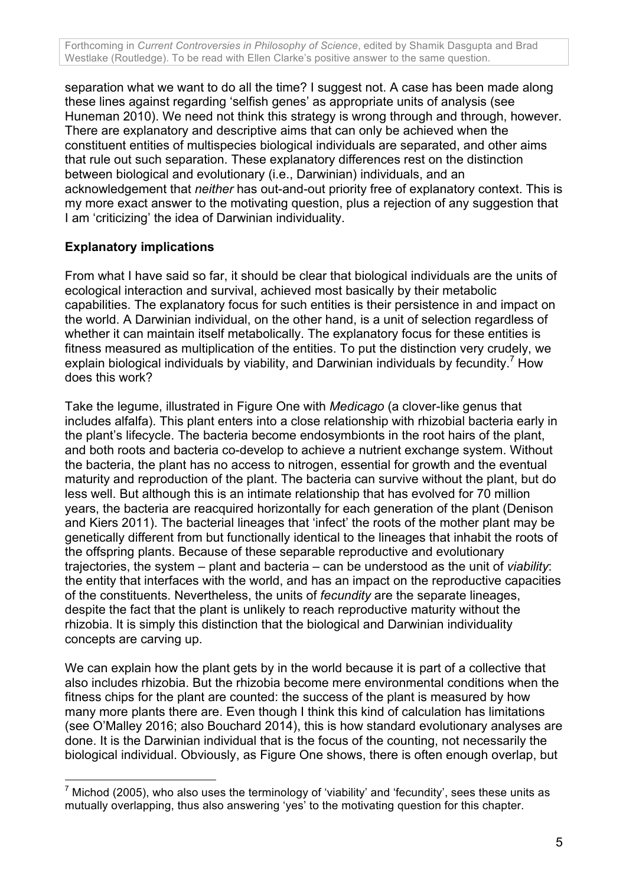separation what we want to do all the time? I suggest not. A case has been made along these lines against regarding 'selfish genes' as appropriate units of analysis (see Huneman 2010). We need not think this strategy is wrong through and through, however. There are explanatory and descriptive aims that can only be achieved when the constituent entities of multispecies biological individuals are separated, and other aims that rule out such separation. These explanatory differences rest on the distinction between biological and evolutionary (i.e., Darwinian) individuals, and an acknowledgement that *neither* has out-and-out priority free of explanatory context. This is my more exact answer to the motivating question, plus a rejection of any suggestion that I am 'criticizing' the idea of Darwinian individuality.

## **Explanatory implications**

From what I have said so far, it should be clear that biological individuals are the units of ecological interaction and survival, achieved most basically by their metabolic capabilities. The explanatory focus for such entities is their persistence in and impact on the world. A Darwinian individual, on the other hand, is a unit of selection regardless of whether it can maintain itself metabolically. The explanatory focus for these entities is fitness measured as multiplication of the entities. To put the distinction very crudely, we explain biological individuals by viability, and Darwinian individuals by fecundity.<sup>7</sup> How does this work?

Take the legume, illustrated in Figure One with *Medicago* (a clover-like genus that includes alfalfa). This plant enters into a close relationship with rhizobial bacteria early in the plant's lifecycle. The bacteria become endosymbionts in the root hairs of the plant, and both roots and bacteria co-develop to achieve a nutrient exchange system. Without the bacteria, the plant has no access to nitrogen, essential for growth and the eventual maturity and reproduction of the plant. The bacteria can survive without the plant, but do less well. But although this is an intimate relationship that has evolved for 70 million years, the bacteria are reacquired horizontally for each generation of the plant (Denison and Kiers 2011). The bacterial lineages that 'infect' the roots of the mother plant may be genetically different from but functionally identical to the lineages that inhabit the roots of the offspring plants. Because of these separable reproductive and evolutionary trajectories, the system – plant and bacteria – can be understood as the unit of *viability*: the entity that interfaces with the world, and has an impact on the reproductive capacities of the constituents. Nevertheless, the units of *fecundity* are the separate lineages, despite the fact that the plant is unlikely to reach reproductive maturity without the rhizobia. It is simply this distinction that the biological and Darwinian individuality concepts are carving up.

We can explain how the plant gets by in the world because it is part of a collective that also includes rhizobia. But the rhizobia become mere environmental conditions when the fitness chips for the plant are counted: the success of the plant is measured by how many more plants there are. Even though I think this kind of calculation has limitations (see O'Malley 2016; also Bouchard 2014), this is how standard evolutionary analyses are done. It is the Darwinian individual that is the focus of the counting, not necessarily the biological individual. Obviously, as Figure One shows, there is often enough overlap, but

 $<sup>7</sup>$  Michod (2005), who also uses the terminology of 'viability' and 'fecundity', sees these units as</sup> mutually overlapping, thus also answering 'yes' to the motivating question for this chapter.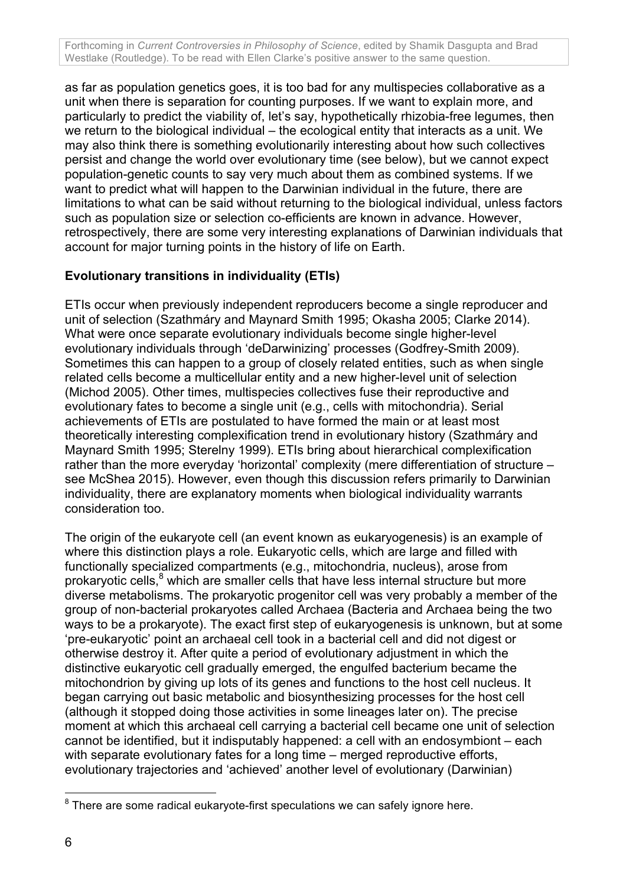as far as population genetics goes, it is too bad for any multispecies collaborative as a unit when there is separation for counting purposes. If we want to explain more, and particularly to predict the viability of, let's say, hypothetically rhizobia-free legumes, then we return to the biological individual – the ecological entity that interacts as a unit. We may also think there is something evolutionarily interesting about how such collectives persist and change the world over evolutionary time (see below), but we cannot expect population-genetic counts to say very much about them as combined systems. If we want to predict what will happen to the Darwinian individual in the future, there are limitations to what can be said without returning to the biological individual, unless factors such as population size or selection co-efficients are known in advance. However, retrospectively, there are some very interesting explanations of Darwinian individuals that account for major turning points in the history of life on Earth.

# **Evolutionary transitions in individuality (ETIs)**

ETIs occur when previously independent reproducers become a single reproducer and unit of selection (Szathmáry and Maynard Smith 1995; Okasha 2005; Clarke 2014). What were once separate evolutionary individuals become single higher-level evolutionary individuals through 'deDarwinizing' processes (Godfrey-Smith 2009). Sometimes this can happen to a group of closely related entities, such as when single related cells become a multicellular entity and a new higher-level unit of selection (Michod 2005). Other times, multispecies collectives fuse their reproductive and evolutionary fates to become a single unit (e.g., cells with mitochondria). Serial achievements of ETIs are postulated to have formed the main or at least most theoretically interesting complexification trend in evolutionary history (Szathmáry and Maynard Smith 1995; Sterelny 1999). ETIs bring about hierarchical complexification rather than the more everyday 'horizontal' complexity (mere differentiation of structure – see McShea 2015). However, even though this discussion refers primarily to Darwinian individuality, there are explanatory moments when biological individuality warrants consideration too.

The origin of the eukaryote cell (an event known as eukaryogenesis) is an example of where this distinction plays a role. Eukaryotic cells, which are large and filled with functionally specialized compartments (e.g., mitochondria, nucleus), arose from prokaryotic cells,<sup>8</sup> which are smaller cells that have less internal structure but more diverse metabolisms. The prokaryotic progenitor cell was very probably a member of the group of non-bacterial prokaryotes called Archaea (Bacteria and Archaea being the two ways to be a prokaryote). The exact first step of eukaryogenesis is unknown, but at some 'pre-eukaryotic' point an archaeal cell took in a bacterial cell and did not digest or otherwise destroy it. After quite a period of evolutionary adjustment in which the distinctive eukaryotic cell gradually emerged, the engulfed bacterium became the mitochondrion by giving up lots of its genes and functions to the host cell nucleus. It began carrying out basic metabolic and biosynthesizing processes for the host cell (although it stopped doing those activities in some lineages later on). The precise moment at which this archaeal cell carrying a bacterial cell became one unit of selection cannot be identified, but it indisputably happened: a cell with an endosymbiont – each with separate evolutionary fates for a long time – merged reproductive efforts, evolutionary trajectories and 'achieved' another level of evolutionary (Darwinian)

 $8$  There are some radical eukaryote-first speculations we can safely ignore here.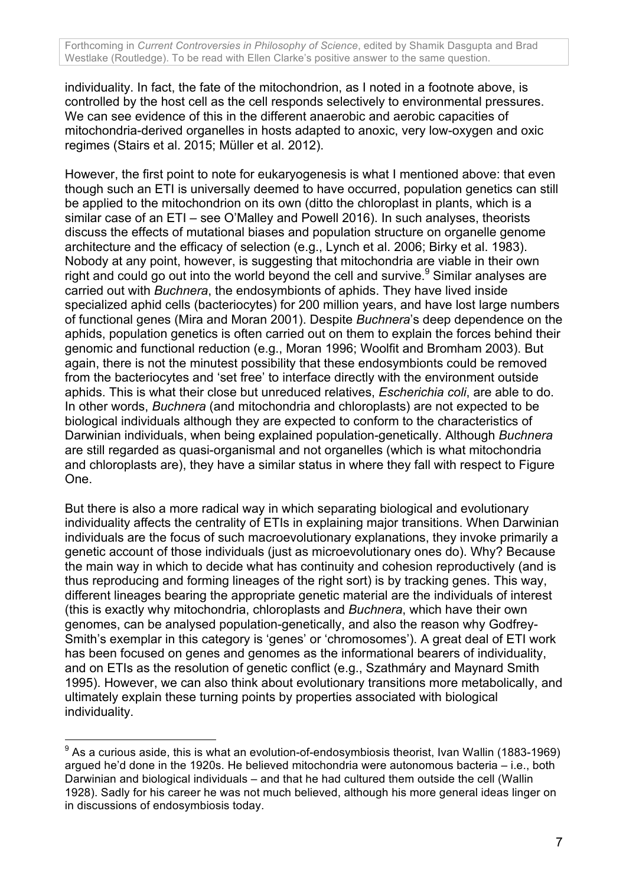individuality. In fact, the fate of the mitochondrion, as I noted in a footnote above, is controlled by the host cell as the cell responds selectively to environmental pressures. We can see evidence of this in the different anaerobic and aerobic capacities of mitochondria-derived organelles in hosts adapted to anoxic, very low-oxygen and oxic regimes (Stairs et al. 2015; Müller et al. 2012).

However, the first point to note for eukaryogenesis is what I mentioned above: that even though such an ETI is universally deemed to have occurred, population genetics can still be applied to the mitochondrion on its own (ditto the chloroplast in plants, which is a similar case of an ETI – see O'Malley and Powell 2016). In such analyses, theorists discuss the effects of mutational biases and population structure on organelle genome architecture and the efficacy of selection (e.g., Lynch et al. 2006; Birky et al. 1983). Nobody at any point, however, is suggesting that mitochondria are viable in their own right and could go out into the world beyond the cell and survive. $9$  Similar analyses are carried out with *Buchnera*, the endosymbionts of aphids. They have lived inside specialized aphid cells (bacteriocytes) for 200 million years, and have lost large numbers of functional genes (Mira and Moran 2001). Despite *Buchnera*'s deep dependence on the aphids, population genetics is often carried out on them to explain the forces behind their genomic and functional reduction (e.g., Moran 1996; Woolfit and Bromham 2003). But again, there is not the minutest possibility that these endosymbionts could be removed from the bacteriocytes and 'set free' to interface directly with the environment outside aphids. This is what their close but unreduced relatives, *Escherichia coli*, are able to do. In other words, *Buchnera* (and mitochondria and chloroplasts) are not expected to be biological individuals although they are expected to conform to the characteristics of Darwinian individuals, when being explained population-genetically. Although *Buchnera* are still regarded as quasi-organismal and not organelles (which is what mitochondria and chloroplasts are), they have a similar status in where they fall with respect to Figure One.

But there is also a more radical way in which separating biological and evolutionary individuality affects the centrality of ETIs in explaining major transitions. When Darwinian individuals are the focus of such macroevolutionary explanations, they invoke primarily a genetic account of those individuals (just as microevolutionary ones do). Why? Because the main way in which to decide what has continuity and cohesion reproductively (and is thus reproducing and forming lineages of the right sort) is by tracking genes. This way, different lineages bearing the appropriate genetic material are the individuals of interest (this is exactly why mitochondria, chloroplasts and *Buchnera*, which have their own genomes, can be analysed population-genetically, and also the reason why Godfrey-Smith's exemplar in this category is 'genes' or 'chromosomes'). A great deal of ETI work has been focused on genes and genomes as the informational bearers of individuality, and on ETIs as the resolution of genetic conflict (e.g., Szathmáry and Maynard Smith 1995). However, we can also think about evolutionary transitions more metabolically, and ultimately explain these turning points by properties associated with biological individuality.

 $9$  As a curious aside, this is what an evolution-of-endosymbiosis theorist, Ivan Wallin (1883-1969) argued he'd done in the 1920s. He believed mitochondria were autonomous bacteria – i.e., both Darwinian and biological individuals – and that he had cultured them outside the cell (Wallin 1928). Sadly for his career he was not much believed, although his more general ideas linger on in discussions of endosymbiosis today.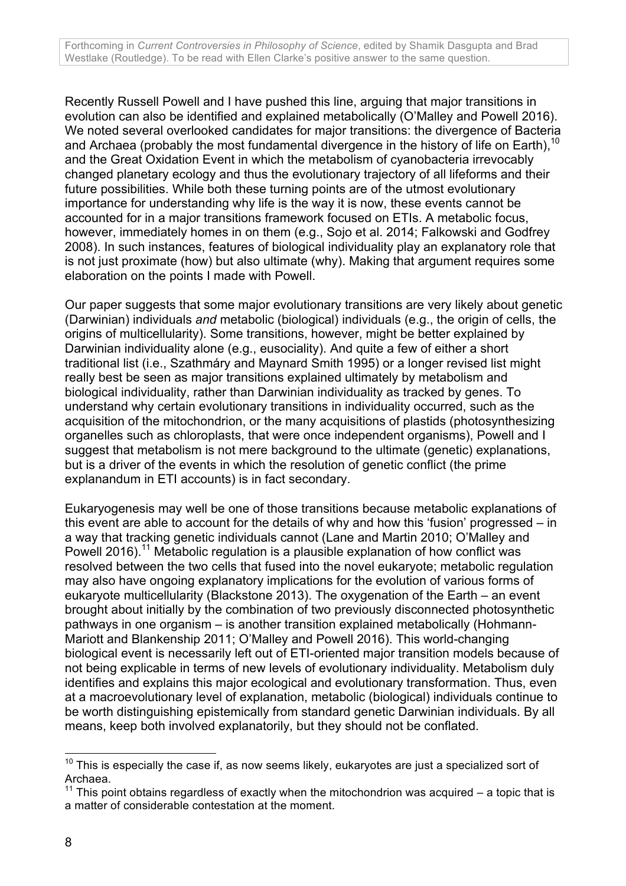Recently Russell Powell and I have pushed this line, arguing that major transitions in evolution can also be identified and explained metabolically (O'Malley and Powell 2016). We noted several overlooked candidates for major transitions: the divergence of Bacteria and Archaea (probably the most fundamental divergence in the history of life on Earth), <sup>10</sup> and the Great Oxidation Event in which the metabolism of cyanobacteria irrevocably changed planetary ecology and thus the evolutionary trajectory of all lifeforms and their future possibilities. While both these turning points are of the utmost evolutionary importance for understanding why life is the way it is now, these events cannot be accounted for in a major transitions framework focused on ETIs. A metabolic focus, however, immediately homes in on them (e.g., Sojo et al. 2014; Falkowski and Godfrey 2008). In such instances, features of biological individuality play an explanatory role that is not just proximate (how) but also ultimate (why). Making that argument requires some elaboration on the points I made with Powell.

Our paper suggests that some major evolutionary transitions are very likely about genetic (Darwinian) individuals *and* metabolic (biological) individuals (e.g., the origin of cells, the origins of multicellularity). Some transitions, however, might be better explained by Darwinian individuality alone (e.g., eusociality). And quite a few of either a short traditional list (i.e., Szathmáry and Maynard Smith 1995) or a longer revised list might really best be seen as major transitions explained ultimately by metabolism and biological individuality, rather than Darwinian individuality as tracked by genes. To understand why certain evolutionary transitions in individuality occurred, such as the acquisition of the mitochondrion, or the many acquisitions of plastids (photosynthesizing organelles such as chloroplasts, that were once independent organisms), Powell and I suggest that metabolism is not mere background to the ultimate (genetic) explanations, but is a driver of the events in which the resolution of genetic conflict (the prime explanandum in ETI accounts) is in fact secondary.

Eukaryogenesis may well be one of those transitions because metabolic explanations of this event are able to account for the details of why and how this 'fusion' progressed – in a way that tracking genetic individuals cannot (Lane and Martin 2010; O'Malley and Powell 2016).<sup>11</sup> Metabolic regulation is a plausible explanation of how conflict was resolved between the two cells that fused into the novel eukaryote; metabolic regulation may also have ongoing explanatory implications for the evolution of various forms of eukaryote multicellularity (Blackstone 2013). The oxygenation of the Earth – an event brought about initially by the combination of two previously disconnected photosynthetic pathways in one organism – is another transition explained metabolically (Hohmann-Mariott and Blankenship 2011; O'Malley and Powell 2016). This world-changing biological event is necessarily left out of ETI-oriented major transition models because of not being explicable in terms of new levels of evolutionary individuality. Metabolism duly identifies and explains this major ecological and evolutionary transformation. Thus, even at a macroevolutionary level of explanation, metabolic (biological) individuals continue to be worth distinguishing epistemically from standard genetic Darwinian individuals. By all means, keep both involved explanatorily, but they should not be conflated.

 $10$  This is especially the case if, as now seems likely, eukaryotes are just a specialized sort of Archaea.

 $11$  This point obtains regardless of exactly when the mitochondrion was acquired – a topic that is a matter of considerable contestation at the moment.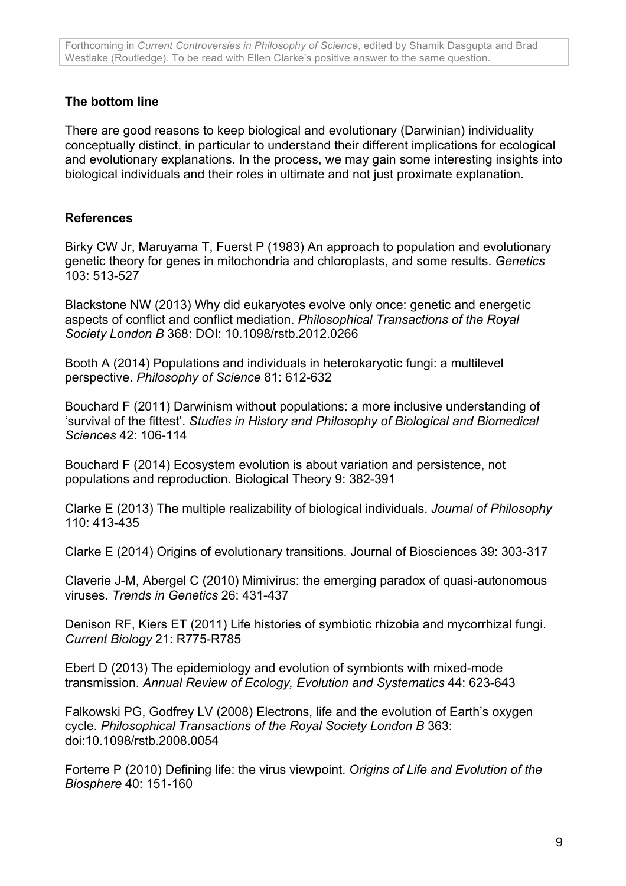## **The bottom line**

There are good reasons to keep biological and evolutionary (Darwinian) individuality conceptually distinct, in particular to understand their different implications for ecological and evolutionary explanations. In the process, we may gain some interesting insights into biological individuals and their roles in ultimate and not just proximate explanation.

## **References**

Birky CW Jr, Maruyama T, Fuerst P (1983) An approach to population and evolutionary genetic theory for genes in mitochondria and chloroplasts, and some results. *Genetics* 103: 513-527

Blackstone NW (2013) Why did eukaryotes evolve only once: genetic and energetic aspects of conflict and conflict mediation. *Philosophical Transactions of the Royal Society London B* 368: DOI: 10.1098/rstb.2012.0266

Booth A (2014) Populations and individuals in heterokaryotic fungi: a multilevel perspective. *Philosophy of Science* 81: 612-632

Bouchard F (2011) Darwinism without populations: a more inclusive understanding of 'survival of the fittest'. *Studies in History and Philosophy of Biological and Biomedical Sciences* 42: 106-114

Bouchard F (2014) Ecosystem evolution is about variation and persistence, not populations and reproduction. Biological Theory 9: 382-391

Clarke E (2013) The multiple realizability of biological individuals. *Journal of Philosophy* 110: 413-435

Clarke E (2014) Origins of evolutionary transitions. Journal of Biosciences 39: 303-317

Claverie J-M, Abergel C (2010) Mimivirus: the emerging paradox of quasi-autonomous viruses. *Trends in Genetics* 26: 431-437

Denison RF, Kiers ET (2011) Life histories of symbiotic rhizobia and mycorrhizal fungi. *Current Biology* 21: R775-R785

Ebert D (2013) The epidemiology and evolution of symbionts with mixed-mode transmission. *Annual Review of Ecology, Evolution and Systematics* 44: 623-643

Falkowski PG, Godfrey LV (2008) Electrons, life and the evolution of Earth's oxygen cycle. *Philosophical Transactions of the Royal Society London B* 363: doi:10.1098/rstb.2008.0054

Forterre P (2010) Defining life: the virus viewpoint. *Origins of Life and Evolution of the Biosphere* 40: 151-160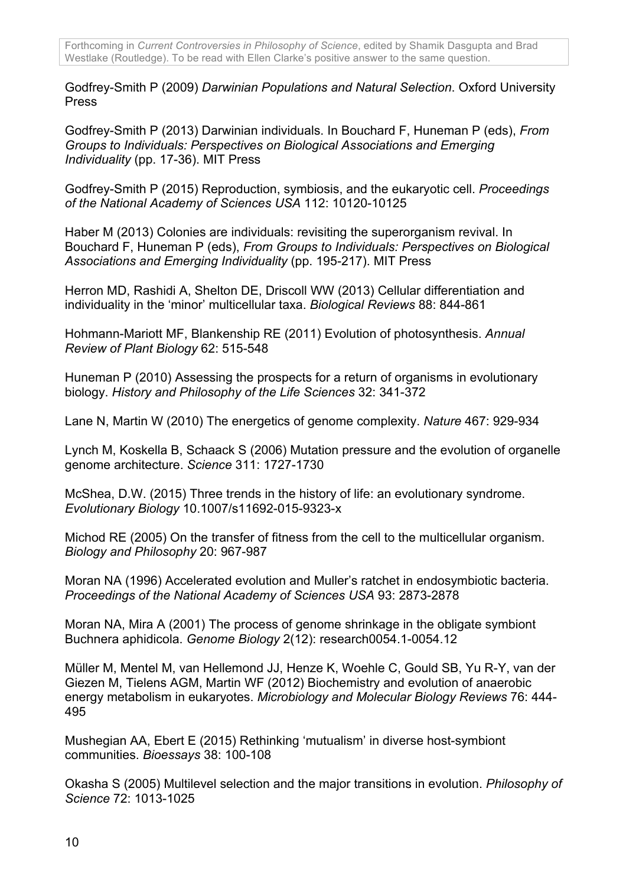Godfrey-Smith P (2009) *Darwinian Populations and Natural Selection*. Oxford University Press

Godfrey-Smith P (2013) Darwinian individuals. In Bouchard F, Huneman P (eds), *From Groups to Individuals: Perspectives on Biological Associations and Emerging Individuality* (pp. 17-36). MIT Press

Godfrey-Smith P (2015) Reproduction, symbiosis, and the eukaryotic cell. *Proceedings of the National Academy of Sciences USA* 112: 10120-10125

Haber M (2013) Colonies are individuals: revisiting the superorganism revival. In Bouchard F, Huneman P (eds), *From Groups to Individuals: Perspectives on Biological Associations and Emerging Individuality* (pp. 195-217). MIT Press

Herron MD, Rashidi A, Shelton DE, Driscoll WW (2013) Cellular differentiation and individuality in the 'minor' multicellular taxa. *Biological Reviews* 88: 844-861

Hohmann-Mariott MF, Blankenship RE (2011) Evolution of photosynthesis. *Annual Review of Plant Biology* 62: 515-548

Huneman P (2010) Assessing the prospects for a return of organisms in evolutionary biology. *History and Philosophy of the Life Sciences* 32: 341-372

Lane N, Martin W (2010) The energetics of genome complexity. *Nature* 467: 929-934

Lynch M, Koskella B, Schaack S (2006) Mutation pressure and the evolution of organelle genome architecture. *Science* 311: 1727-1730

McShea, D.W. (2015) Three trends in the history of life: an evolutionary syndrome. *Evolutionary Biology* 10.1007/s11692-015-9323-x

Michod RE (2005) On the transfer of fitness from the cell to the multicellular organism. *Biology and Philosophy* 20: 967-987

Moran NA (1996) Accelerated evolution and Muller's ratchet in endosymbiotic bacteria. *Proceedings of the National Academy of Sciences USA* 93: 2873-2878

Moran NA, Mira A (2001) The process of genome shrinkage in the obligate symbiont Buchnera aphidicola. *Genome Biology* 2(12): research0054.1-0054.12

Müller M, Mentel M, van Hellemond JJ, Henze K, Woehle C, Gould SB, Yu R-Y, van der Giezen M, Tielens AGM, Martin WF (2012) Biochemistry and evolution of anaerobic energy metabolism in eukaryotes. *Microbiology and Molecular Biology Reviews* 76: 444- 495

Mushegian AA, Ebert E (2015) Rethinking 'mutualism' in diverse host-symbiont communities. *Bioessays* 38: 100-108

Okasha S (2005) Multilevel selection and the major transitions in evolution. *Philosophy of Science* 72: 1013-1025